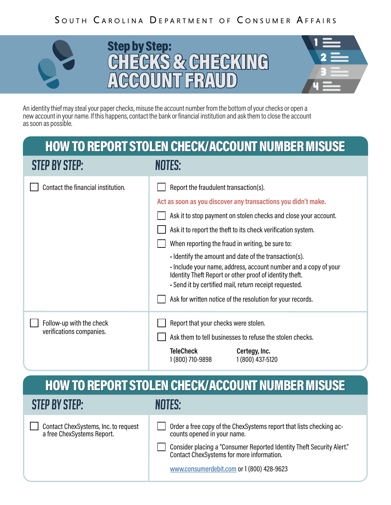### SOUTH CAROLINA DEPARTMENT OF CONSUMER AFFAIRS







An identity thief may steal your paper checks, misuse the account number from the bottom of your checks or open a new account in your name. If this happens, contact the bank or financial institution and ask them to close the account as soon as possible.

# HOW TO REPORT STOLEN CHECK/ACCOUNT NUMBER MISUSE

| <b>STEP BY STEP:</b>                                 | NOTES:                                                                                                                                                                                                                                                                                                                                                                                                                                                                                                                                                                                                    |
|------------------------------------------------------|-----------------------------------------------------------------------------------------------------------------------------------------------------------------------------------------------------------------------------------------------------------------------------------------------------------------------------------------------------------------------------------------------------------------------------------------------------------------------------------------------------------------------------------------------------------------------------------------------------------|
| Contact the financial institution.                   | Report the fraudulent transaction(s).<br>Act as soon as you discover any transactions you didn't make.<br>Ask it to stop payment on stolen checks and close your account.<br>Ask it to report the theft to its check verification system.<br>When reporting the fraud in writing, be sure to:<br>I dentify the amount and date of the transaction(s).<br>Include your name, address, account number and a copy of your<br>Identity Theft Report or other proof of identity theft.<br>- Send it by certified mail, return receipt requested.<br>Ask for written notice of the resolution for your records. |
| Follow-up with the check<br>verifications companies. | Report that your checks were stolen.<br>Ask them to tell businesses to refuse the stolen checks.<br><b>TeleCheck</b><br>Certegy, Inc.<br>1 (800) 437-5120<br>1 (800) 710-9898                                                                                                                                                                                                                                                                                                                                                                                                                             |

### STEP BY STEP: HOW TO REPORT STOLEN CHECK/ACCOUNT NUMBER MISUSE

Contact ChexSystems, Inc. to request a free ChexSystems Report.

NOTES:

Order a free copy of the ChexSystems report that lists checking accounts opened in your name.

Consider placing a "Consumer Reported Identity Theft Security Alert." Contact ChexSystems for more information.

[www.consumerdebit.com](http://www.consumerdebit.com) or 1 (800) 428-9623